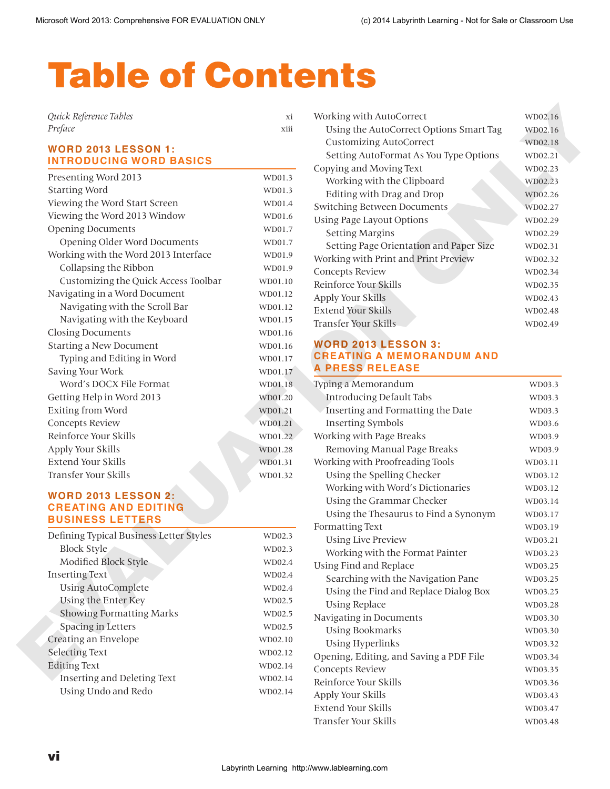# Table of Contents

| Quick Reference Tables |      |
|------------------------|------|
| Preface                | XIII |

## **WORD 2013 LESSON 1: INTRODUCING WORD BASICS**

| Presenting Word 2013                 | WD01.3               |
|--------------------------------------|----------------------|
| <b>Starting Word</b>                 | WD01.3               |
| Viewing the Word Start Screen        | WD01.4               |
| Viewing the Word 2013 Window         | WD01.6               |
| <b>Opening Documents</b>             | WD01.7               |
| Opening Older Word Documents         | WD01.7               |
| Working with the Word 2013 Interface | WD01.9               |
| Collapsing the Ribbon                | WD01.9               |
| Customizing the Quick Access Toolbar | WD01.10              |
| Navigating in a Word Document        | WD01.12              |
| Navigating with the Scroll Bar       | WD01.12              |
| Navigating with the Keyboard         | WD01.15              |
| <b>Closing Documents</b>             | WD01.16              |
| <b>Starting a New Document</b>       | WD01.16              |
| Typing and Editing in Word           | WD01.17              |
| Saving Your Work                     | WD01.17              |
| Word's DOCX File Format              | WD01.18              |
| Getting Help in Word 2013            | WD01.20              |
| Exiting from Word                    | WD01.21              |
| <b>Concepts Review</b>               | WD01.21              |
| Reinforce Your Skills                | $WD01.\overline{22}$ |
| Apply Your Skills                    | WD01.28              |
| Extend Your Skills                   | WD01.31              |
| Transfer Your Skills                 | WD01.32              |

## **WORD 2013 LESSON 2: CREATING AND EDITING BUSINESS LETTERS**

<span id="page-0-0"></span>

| Defining Typical Business Letter Styles | WD02.3  |
|-----------------------------------------|---------|
| <b>Block Style</b>                      | WD02.3  |
| Modified Block Style                    | WD02.4  |
| <b>Inserting Text</b>                   | WD02.4  |
| Using AutoComplete                      | WD02.4  |
| Using the Enter Key                     | WD02.5  |
| <b>Showing Formatting Marks</b>         | WD02.5  |
| Spacing in Letters                      | WD02.5  |
| Creating an Envelope                    | WD02.10 |
| <b>Selecting Text</b>                   | WD02.12 |
| <b>Editing Text</b>                     | WD02.14 |
| Inserting and Deleting Text             | WD02.14 |
| Using Undo and Redo                     | WD02.14 |
|                                         |         |

| Working with AutoCorrect                | WD02.16 |
|-----------------------------------------|---------|
| Using the AutoCorrect Options Smart Tag | WD02.16 |
| <b>Customizing AutoCorrect</b>          | WD02.18 |
| Setting AutoFormat As You Type Options  | WD02.21 |
| Copying and Moving Text                 | WD02.23 |
| Working with the Clipboard              | WD02.23 |
| Editing with Drag and Drop              | WD02.26 |
| Switching Between Documents             | WD02.27 |
| Using Page Layout Options               | WD02.29 |
| <b>Setting Margins</b>                  | WD02.29 |
| Setting Page Orientation and Paper Size | WD02.31 |
| Working with Print and Print Preview    | WD02.32 |
| Concepts Review                         | WD02.34 |
| Reinforce Your Skills                   | WD02.35 |
| Apply Your Skills                       | WD02.43 |
| Extend Your Skills                      | WD02.48 |
| Transfer Your Skills                    | WD02.49 |

#### **WORD 2013 LESSON 3: CREATING A MEMORANDUM AND A PRESS RELEASE**

| Preface                                                   | xiii    | Using the AutoCorrect Options Smart Tag<br><b>Customizing AutoCorrect</b> | WD02.16<br>WD02.18 |
|-----------------------------------------------------------|---------|---------------------------------------------------------------------------|--------------------|
| <b>WORD 2013 LESSON 1:</b>                                |         | Setting AutoFormat As You Type Options                                    | WD02.21            |
| <b>INTRODUCING WORD BASICS</b>                            |         | Copying and Moving Text                                                   | WD02.23            |
| Presenting Word 2013                                      | WD01.3  | Working with the Clipboard                                                | WD02.23            |
| <b>Starting Word</b>                                      | WD01.3  | Editing with Drag and Drop                                                | WD02.26            |
| Viewing the Word Start Screen                             | WD01.4  | Switching Between Documents                                               | WD02.27            |
| Viewing the Word 2013 Window                              | WD01.6  | Using Page Layout Options                                                 | WD02.29            |
| <b>Opening Documents</b>                                  | WD01.7  | <b>Setting Margins</b>                                                    | WD02.29            |
| Opening Older Word Documents                              | WD01.7  | Setting Page Orientation and Paper Size                                   | WD02.31            |
| Working with the Word 2013 Interface                      | WD01.9  | Working with Print and Print Preview                                      | WD02.32            |
| Collapsing the Ribbon                                     | WD01.9  | Concepts Review                                                           | WD02.34            |
| Customizing the Quick Access Toolbar                      | WD01.10 | Reinforce Your Skills                                                     | WD02.35            |
| Navigating in a Word Document                             | WD01.12 | Apply Your Skills                                                         | WD02.43            |
| Navigating with the Scroll Bar                            | WD01.12 | <b>Extend Your Skills</b>                                                 | WD02.48            |
| Navigating with the Keyboard                              | WD01.15 | Transfer Your Skills                                                      | WD02.49            |
| <b>Closing Documents</b>                                  | WD01.16 |                                                                           |                    |
| <b>Starting a New Document</b>                            | WD01.16 | <b>WORD 2013 LESSON 3:</b>                                                |                    |
| Typing and Editing in Word                                | WD01.17 | <b>CREATING A MEMORANDUM AND</b>                                          |                    |
| Saving Your Work                                          | WD01.17 | <b>A PRESS RELEASE</b>                                                    |                    |
| Word's DOCX File Format                                   | WD01.18 | Typing a Memorandum                                                       | WD03.3             |
| Getting Help in Word 2013                                 | WD01.20 | Introducing Default Tabs                                                  | WD03.3             |
| Exiting from Word                                         | WD01.21 | Inserting and Formatting the Date                                         | WD03.3             |
| Concepts Review                                           | WD01.21 | <b>Inserting Symbols</b>                                                  | WD03.6             |
| Reinforce Your Skills                                     | WD01.22 | Working with Page Breaks                                                  | WD03.9             |
| Apply Your Skills                                         | WD01.28 | Removing Manual Page Breaks                                               | WD03.9             |
| <b>Extend Your Skills</b>                                 | WD01.31 | Working with Proofreading Tools                                           | WD03.11            |
| Transfer Your Skills                                      | WD01.32 | Using the Spelling Checker                                                | WD03.12            |
|                                                           |         | Working with Word's Dictionaries                                          | WD03.12            |
| <b>WORD 2013 LESSON 2:</b><br><b>CREATING AND EDITING</b> |         | Using the Grammar Checker                                                 | WD03.14            |
| <b>BUSINESS LETTERS</b>                                   |         | Using the Thesaurus to Find a Synonym                                     | WD03.17            |
|                                                           |         | Formatting Text                                                           | WD03.19            |
| Defining Typical Business Letter Styles                   | WD02.3  | <b>Using Live Preview</b>                                                 | WD03.21            |
| Block Style                                               | WD02.3  | Working with the Format Painter                                           | WD03.23            |
| Modified Block Style                                      | WD02.4  | Using Find and Replace                                                    | WD03.25            |
| <b>Inserting Text</b>                                     | WD02.4  | Searching with the Navigation Pane                                        | WD03.25            |
| <b>Using AutoComplete</b>                                 | WD02.4  | Using the Find and Replace Dialog Box                                     | WD03.25            |
| Using the Enter Key                                       | WD02.5  | <b>Using Replace</b>                                                      | WD03.28            |
| <b>Showing Formatting Marks</b>                           | WD02.5  | Navigating in Documents                                                   | WD03.30            |
| Spacing in Letters                                        | WD02.5  | <b>Using Bookmarks</b>                                                    | WD03.30            |
| Creating an Envelope                                      | WD02.10 | <b>Using Hyperlinks</b>                                                   | WD03.32            |
| Selecting Text                                            | WD02.12 | Opening, Editing, and Saving a PDF File                                   | WD03.34            |
| <b>Editing Text</b>                                       | WD02.14 | <b>Concepts Review</b>                                                    | WD03.35            |
| Inserting and Deleting Text                               | WD02.14 | Reinforce Your Skills                                                     | WD03.36            |
| Using Undo and Redo                                       | WD02.14 | Apply Your Skills                                                         | WD03.43            |
|                                                           |         | Extend Your Skills                                                        | WD03.47            |
|                                                           |         | Transfer Your Skills                                                      | WD03.48            |
|                                                           |         |                                                                           |                    |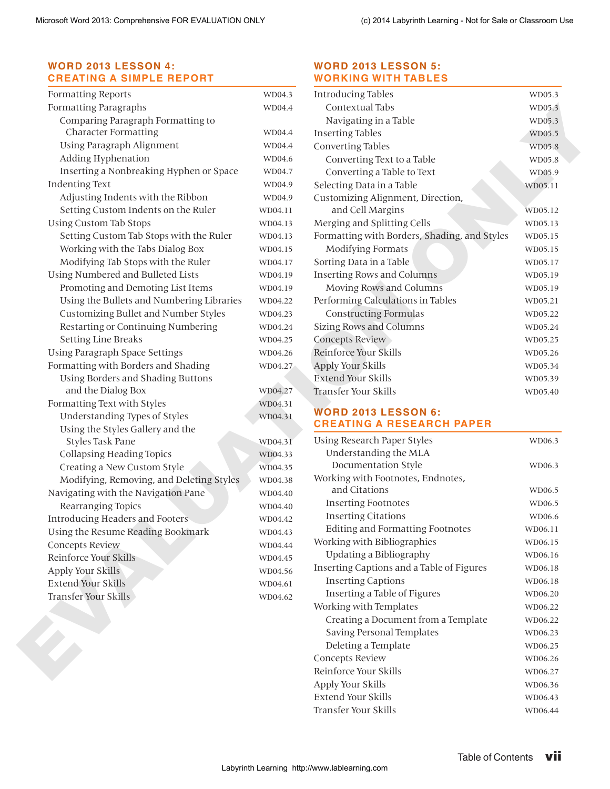## **[WORD 2013 LESSON 4:](#page-0-0) [CREATING A SIMPLE REPORT](#page-0-0)**

| Formatting Reports                        | WD04.3  | <b>Introducing Tables</b>                    | WD05.3  |
|-------------------------------------------|---------|----------------------------------------------|---------|
| Formatting Paragraphs                     | WD04.4  | Contextual Tabs                              | WD05.3  |
| Comparing Paragraph Formatting to         |         | Navigating in a Table                        | WD05.3  |
| <b>Character Formatting</b>               | WD04.4  | <b>Inserting Tables</b>                      | WD05.5  |
| Using Paragraph Alignment                 | WD04.4  | Converting Tables                            | WD05.8  |
| Adding Hyphenation                        | WD04.6  | Converting Text to a Table                   | WD05.8  |
| Inserting a Nonbreaking Hyphen or Space   | WD04.7  | Converting a Table to Text                   | WD05.9  |
| <b>Indenting Text</b>                     | WD04.9  | Selecting Data in a Table                    | WD05.11 |
| Adjusting Indents with the Ribbon         | WD04.9  | Customizing Alignment, Direction,            |         |
| Setting Custom Indents on the Ruler       | WD04.11 | and Cell Margins                             | WD05.12 |
| <b>Using Custom Tab Stops</b>             | WD04.13 | Merging and Splitting Cells                  | WD05.13 |
| Setting Custom Tab Stops with the Ruler   | WD04.13 | Formatting with Borders, Shading, and Styles | WD05.15 |
| Working with the Tabs Dialog Box          | WD04.15 | Modifying Formats                            | WD05.15 |
| Modifying Tab Stops with the Ruler        | WD04.17 | Sorting Data in a Table                      | WD05.17 |
| Using Numbered and Bulleted Lists         | WD04.19 | <b>Inserting Rows and Columns</b>            | WD05.19 |
| Promoting and Demoting List Items         | WD04.19 | Moving Rows and Columns                      | WD05.19 |
| Using the Bullets and Numbering Libraries | WD04.22 | Performing Calculations in Tables            | WD05.21 |
| Customizing Bullet and Number Styles      | WD04.23 | <b>Constructing Formulas</b>                 | WD05.22 |
| Restarting or Continuing Numbering        | WD04.24 | <b>Sizing Rows and Columns</b>               | WD05.24 |
| <b>Setting Line Breaks</b>                | WD04.25 | Concepts Review                              | WD05.25 |
| <b>Using Paragraph Space Settings</b>     | WD04.26 | Reinforce Your Skills                        | WD05.26 |
| Formatting with Borders and Shading       | WD04.27 | Apply Your Skills                            | WD05.34 |
| Using Borders and Shading Buttons         |         | <b>Extend Your Skills</b>                    | WD05.39 |
| and the Dialog Box                        | WD04.27 | Transfer Your Skills                         | WD05.40 |
| Formatting Text with Styles               | WD04.31 |                                              |         |
| Understanding Types of Styles             | WD04.31 | <b>WORD 2013 LESSON 6:</b>                   |         |
| Using the Styles Gallery and the          |         | <b>CREATING A RESEARCH PAPER</b>             |         |
| Styles Task Pane                          | WD04.31 | Using Research Paper Styles                  | WD06.3  |
| Collapsing Heading Topics                 | WD04.33 | Understanding the MLA                        |         |
| Creating a New Custom Style               | WD04.35 | Documentation Style                          | WD06.3  |
| Modifying, Removing, and Deleting Styles  | WD04.38 | Working with Footnotes, Endnotes,            |         |
| Navigating with the Navigation Pane       | WD04.40 | and Citations                                | WD06.5  |
| Rearranging Topics                        | WD04.40 | <b>Inserting Footnotes</b>                   | WD06.5  |
| Introducing Headers and Footers           | WD04.42 | <b>Inserting Citations</b>                   | WD06.6  |
| Using the Resume Reading Bookmark         | WD04.43 | <b>Editing and Formatting Footnotes</b>      | WD06.11 |
| <b>Concepts Review</b>                    | WD04.44 | Working with Bibliographies                  | WD06.15 |
| Reinforce Your Skills                     | WD04.45 | Updating a Bibliography                      | WD06.16 |
| Apply Your Skills                         | WD04.56 | Inserting Captions and a Table of Figures    | WD06.18 |
| <b>Extend Your Skills</b>                 | WD04.61 | <b>Inserting Captions</b>                    | WD06.18 |
| Transfer Your Skills                      | WD04.62 | Inserting a Table of Figures                 | WD06.20 |
|                                           |         | Working with Templates                       | WD06.22 |
|                                           |         | Creating a Document from a Template          | WD06.22 |
|                                           |         | Saving Personal Templates                    | WD06.23 |
|                                           |         | Deleting a Template                          | WD06.25 |
|                                           |         | Concepts Review                              | WD06.26 |
|                                           |         | Reinforce Your Skills                        | WD06.27 |
|                                           |         | Apply Your Skills                            | WD06.36 |
|                                           |         | Extend Your Skills                           | WD06.43 |
|                                           |         | Transfer Your Skills                         | WD06.44 |
|                                           |         |                                              |         |
|                                           |         |                                              |         |

## **[WORD 2013 LESSON 5:](#page-0-0) [WORKING WITH TABLES](#page-0-0)**

| <b>Introducing Tables</b>                    | WD05.3  |
|----------------------------------------------|---------|
| Contextual Tabs                              | WD05.3  |
| Navigating in a Table                        | WD05.3  |
| <b>Inserting Tables</b>                      | WD05.5  |
| Converting Tables                            | WD05.8  |
| Converting Text to a Table                   | WD05.8  |
| Converting a Table to Text                   | WD05.9  |
| Selecting Data in a Table                    | WD05.11 |
| Customizing Alignment, Direction,            |         |
| and Cell Margins                             | WD05.12 |
| Merging and Splitting Cells                  | WD05.13 |
| Formatting with Borders, Shading, and Styles | WD05.15 |
| <b>Modifying Formats</b>                     | WD05.15 |
| Sorting Data in a Table                      | WD05.17 |
| <b>Inserting Rows and Columns</b>            | WD05.19 |
| Moving Rows and Columns                      | WD05.19 |
| Performing Calculations in Tables            | WD05.21 |
| <b>Constructing Formulas</b>                 | WD05.22 |
| <b>Sizing Rows and Columns</b>               | WD05.24 |
| <b>Concepts Review</b>                       | WD05.25 |
| Reinforce Your Skills                        | WD05.26 |
| Apply Your Skills                            | WD05.34 |
| Extend Your Skills                           | WD05.39 |
| Transfer Your Skills                         | WD05.40 |

# **WORD 2013 LESSON 6: CREATING A RESEARCH PAPER**

| Using Research Paper Styles               | WD06.3  |
|-------------------------------------------|---------|
| Understanding the MLA                     |         |
| Documentation Style                       | WD06.3  |
| Working with Footnotes, Endnotes,         |         |
| and Citations                             | WD06.5  |
| <b>Inserting Footnotes</b>                | WD06.5  |
| <b>Inserting Citations</b>                | WD06.6  |
| <b>Editing and Formatting Footnotes</b>   | WD06.11 |
| Working with Bibliographies               | WD06.15 |
| Updating a Bibliography                   | WD06.16 |
| Inserting Captions and a Table of Figures | WD06.18 |
| <b>Inserting Captions</b>                 | WD06.18 |
| Inserting a Table of Figures              | WD06.20 |
| Working with Templates                    | WD06.22 |
| Creating a Document from a Template       | WD06.22 |
| Saving Personal Templates                 | WD06.23 |
| Deleting a Template                       | WD06.25 |
| Concepts Review                           | WD06.26 |
| Reinforce Your Skills                     | WD06.27 |
| Apply Your Skills                         | WD06.36 |
| Extend Your Skills                        | WD06.43 |
| Transfer Your Skills                      | WD06.44 |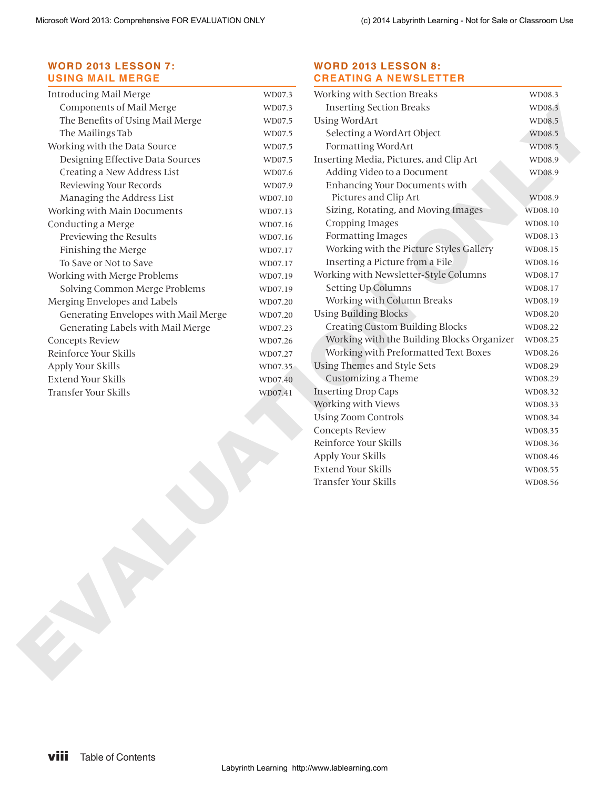## <span id="page-2-0"></span>**[WORD 2013 LESSON 7:](#page-0-0) [USING MAIL MERGE](#page-0-0)**

| Introducing Mail Merge               | WD07.3  |
|--------------------------------------|---------|
| Components of Mail Merge             | WD07.3  |
| The Benefits of Using Mail Merge     | WD07.5  |
| The Mailings Tab                     | WD07.5  |
| Working with the Data Source         | WD07.5  |
| Designing Effective Data Sources     | WD07.5  |
| Creating a New Address List          | WD07.6  |
| Reviewing Your Records               | WD07.9  |
| Managing the Address List            | WD07.10 |
| Working with Main Documents          | WD07.13 |
| Conducting a Merge                   | WD07.16 |
| Previewing the Results               | WD07.16 |
| Finishing the Merge                  | WD07.17 |
| To Save or Not to Save               | WD07.17 |
| Working with Merge Problems          | WD07.19 |
| Solving Common Merge Problems        | WD07.19 |
| Merging Envelopes and Labels         | WD07.20 |
| Generating Envelopes with Mail Merge | WD07.20 |
| Generating Labels with Mail Merge    | WD07.23 |
| Concepts Review                      | WD07.26 |
| Reinforce Your Skills                | WD07.27 |
| Apply Your Skills                    | WD07.35 |
| Extend Your Skills                   | WD07.40 |
| Transfer Your Skills                 | WD07.41 |

#### **[WORD 2013 LESSON 8:](#page-0-0) [CREATING A NEWSLETTER](#page-0-0)**

| Introducing Mail Merge               | WD07.3  | Working with Section Breaks                   | WD08.3  |
|--------------------------------------|---------|-----------------------------------------------|---------|
| Components of Mail Merge             | WD07.3  | <b>Inserting Section Breaks</b>               | WD08.3  |
| The Benefits of Using Mail Merge     | WD07.5  | <b>Using WordArt</b>                          | WD08.5  |
| The Mailings Tab                     | WD07.5  | Selecting a WordArt Object                    | WD08.5  |
| Working with the Data Source         | WD07.5  | Formatting WordArt                            | WD08.5  |
| Designing Effective Data Sources     | WD07.5  | Inserting Media, Pictures, and Clip Art       | WD08.9  |
| Creating a New Address List          | WD07.6  | Adding Video to a Document                    | WD08.9  |
| Reviewing Your Records               | WD07.9  | Enhancing Your Documents with                 |         |
| Managing the Address List            | WD07.10 | Pictures and Clip Art                         | WD08.9  |
| Working with Main Documents          | WD07.13 | Sizing, Rotating, and Moving Images           | WD08.10 |
| Conducting a Merge                   | WD07.16 | Cropping Images                               | WD08.10 |
| Previewing the Results               | WD07.16 | Formatting Images                             | WD08.13 |
| Finishing the Merge                  | WD07.17 | Working with the Picture Styles Gallery       | WD08.15 |
| To Save or Not to Save               | WD07.17 | Inserting a Picture from a File               | WD08.16 |
| Working with Merge Problems          | WD07.19 | Working with Newsletter-Style Columns         | WD08.17 |
| Solving Common Merge Problems        | WD07.19 | Setting Up Columns                            | WD08.17 |
| Merging Envelopes and Labels         | WD07.20 | Working with Column Breaks                    | WD08.19 |
| Generating Envelopes with Mail Merge | WD07.20 | <b>Using Building Blocks</b>                  | WD08.20 |
| Generating Labels with Mail Merge    | WD07.23 | <b>Creating Custom Building Blocks</b>        | WD08.22 |
| Concepts Review                      | WD07.26 | Working with the Building Blocks Organizer    | WD08.25 |
| Reinforce Your Skills                | WD07.27 | Working with Preformatted Text Boxes          | WD08.26 |
| Apply Your Skills                    | WD07.35 | Using Themes and Style Sets                   | WD08.29 |
| Extend Your Skills                   | WD07.40 | Customizing a Theme                           | WD08.29 |
| Transfer Your Skills                 | WD07.41 | <b>Inserting Drop Caps</b>                    | WD08.32 |
|                                      |         | Working with Views                            | WD08.33 |
|                                      |         | <b>Using Zoom Controls</b>                    | WD08.34 |
|                                      |         | Concepts Review                               | WD08.35 |
|                                      |         | Reinforce Your Skills                         | WD08.36 |
|                                      |         | Apply Your Skills                             | WD08.46 |
|                                      |         | Extend Your Skills<br>Transfer Your Skills    | WD08.55 |
|                                      |         |                                               |         |
|                                      |         |                                               |         |
| viii<br><b>Table of Contents</b>     |         | Labyrinth Learning http://www.lablearning.com |         |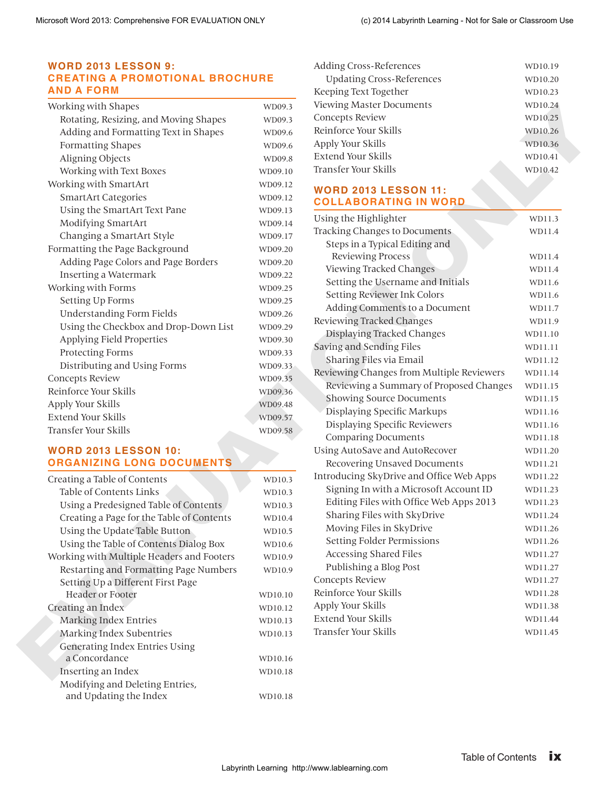#### <span id="page-3-0"></span>**[WORD 2013 LESSON 9:](#page-0-0) [CREATING A PROMOTIONAL BROCHURE](#page-0-0)  [AND A FORM](#page-0-0)**

| Working with Shapes                   | WD09.3  |
|---------------------------------------|---------|
| Rotating, Resizing, and Moving Shapes | WD09.3  |
| Adding and Formatting Text in Shapes  | WD09.6  |
| Formatting Shapes                     | WD09.6  |
| Aligning Objects                      | WD09.8  |
| Working with Text Boxes               | WD09.10 |
| Working with SmartArt                 | WD09.12 |
| <b>SmartArt Categories</b>            | WD09.12 |
| Using the SmartArt Text Pane          | WD09.13 |
| Modifying SmartArt                    | WD09.14 |
| Changing a SmartArt Style             | WD09.17 |
| Formatting the Page Background        | WD09.20 |
| Adding Page Colors and Page Borders   | WD09.20 |
| <b>Inserting a Watermark</b>          | WD09.22 |
| Working with Forms                    | WD09.25 |
| Setting Up Forms                      | WD09.25 |
| <b>Understanding Form Fields</b>      | WD09.26 |
| Using the Checkbox and Drop-Down List | WD09.29 |
| Applying Field Properties             | WD09.30 |
| <b>Protecting Forms</b>               | WD09.33 |
| Distributing and Using Forms          | WD09.33 |
| <b>Concepts Review</b>                | WD09.35 |
| Reinforce Your Skills                 | WD09.36 |
| Apply Your Skills                     | WD09.48 |
| Extend Your Skills                    | WD09.57 |
| Transfer Your Skills                  | WD09.58 |

## **WORD 2013 LESSON 10: ORGANIZING LONG DOCUMENTS**

| Creating a Table of Contents              | WD10.3  |
|-------------------------------------------|---------|
| Table of Contents Links                   | WD10.3  |
| Using a Predesigned Table of Contents     | WD10.3  |
| Creating a Page for the Table of Contents | WD10.4  |
| Using the Update Table Button             | WD10.5  |
| Using the Table of Contents Dialog Box    | WD10.6  |
| Working with Multiple Headers and Footers | WD10.9  |
| Restarting and Formatting Page Numbers    | WD10.9  |
| Setting Up a Different First Page         |         |
| <b>Header or Footer</b>                   | WD10.10 |
| Creating an Index                         | WD10.12 |
| <b>Marking Index Entries</b>              | WD10.13 |
| Marking Index Subentries                  | WD10.13 |
| Generating Index Entries Using            |         |
| a Concordance                             | WD10.16 |
| Inserting an Index                        | WD10.18 |
| Modifying and Deleting Entries,           |         |
| and Updating the Index                    | WD10.18 |

| Adding Cross-References          | WD10.19 |
|----------------------------------|---------|
| <b>Updating Cross-References</b> | WD10.20 |
| Keeping Text Together            | WD10.23 |
| <b>Viewing Master Documents</b>  | WD10.24 |
| Concepts Review                  | WD10.25 |
| Reinforce Your Skills            | WD10.26 |
| Apply Your Skills                | WD10.36 |
| Extend Your Skills               | WD10.41 |
| Transfer Your Skills             | WD10.42 |
|                                  |         |

#### **WORD 2013 LESSON 11: COLLABORATING IN WORD**

| WD09.3<br>WD09.6<br>WD09.6<br>WD09.8<br>WD09.10<br>WD09.12<br>WD09.12<br>WD09.13<br>WD09.14<br>WD09.17<br>WD09.20<br>WD09.20<br>WD09.22<br>WD09.25<br>WD09.25 | Concepts Review<br>Reinforce Your Skills<br>Apply Your Skills<br><b>Extend Your Skills</b><br>Transfer Your Skills<br><b>WORD 2013 LESSON 11:</b><br><b>COLLABORATING IN WORD</b><br>Using the Highlighter<br>Tracking Changes to Documents<br>Steps in a Typical Editing and<br>Reviewing Process | WD10.25<br>WD10.26<br>WD10.36<br>WD10.41<br>WD10.42<br>WD11.3<br>WD11.4                                                                                                                                                                                                                                           |
|---------------------------------------------------------------------------------------------------------------------------------------------------------------|----------------------------------------------------------------------------------------------------------------------------------------------------------------------------------------------------------------------------------------------------------------------------------------------------|-------------------------------------------------------------------------------------------------------------------------------------------------------------------------------------------------------------------------------------------------------------------------------------------------------------------|
|                                                                                                                                                               |                                                                                                                                                                                                                                                                                                    |                                                                                                                                                                                                                                                                                                                   |
|                                                                                                                                                               |                                                                                                                                                                                                                                                                                                    |                                                                                                                                                                                                                                                                                                                   |
|                                                                                                                                                               |                                                                                                                                                                                                                                                                                                    |                                                                                                                                                                                                                                                                                                                   |
|                                                                                                                                                               |                                                                                                                                                                                                                                                                                                    |                                                                                                                                                                                                                                                                                                                   |
|                                                                                                                                                               |                                                                                                                                                                                                                                                                                                    |                                                                                                                                                                                                                                                                                                                   |
|                                                                                                                                                               |                                                                                                                                                                                                                                                                                                    |                                                                                                                                                                                                                                                                                                                   |
|                                                                                                                                                               |                                                                                                                                                                                                                                                                                                    |                                                                                                                                                                                                                                                                                                                   |
|                                                                                                                                                               |                                                                                                                                                                                                                                                                                                    |                                                                                                                                                                                                                                                                                                                   |
|                                                                                                                                                               |                                                                                                                                                                                                                                                                                                    |                                                                                                                                                                                                                                                                                                                   |
|                                                                                                                                                               |                                                                                                                                                                                                                                                                                                    |                                                                                                                                                                                                                                                                                                                   |
|                                                                                                                                                               |                                                                                                                                                                                                                                                                                                    |                                                                                                                                                                                                                                                                                                                   |
|                                                                                                                                                               |                                                                                                                                                                                                                                                                                                    | WD11.4                                                                                                                                                                                                                                                                                                            |
|                                                                                                                                                               | Viewing Tracked Changes                                                                                                                                                                                                                                                                            | WD11.4                                                                                                                                                                                                                                                                                                            |
|                                                                                                                                                               | Setting the Username and Initials                                                                                                                                                                                                                                                                  | WD11.6                                                                                                                                                                                                                                                                                                            |
|                                                                                                                                                               | Setting Reviewer Ink Colors                                                                                                                                                                                                                                                                        | WD11.6                                                                                                                                                                                                                                                                                                            |
| WD09.26                                                                                                                                                       | Adding Comments to a Document                                                                                                                                                                                                                                                                      | WD11.7                                                                                                                                                                                                                                                                                                            |
| WD09.29                                                                                                                                                       | Reviewing Tracked Changes                                                                                                                                                                                                                                                                          | WD11.9                                                                                                                                                                                                                                                                                                            |
| WD09.30                                                                                                                                                       | Displaying Tracked Changes                                                                                                                                                                                                                                                                         | WD11.10                                                                                                                                                                                                                                                                                                           |
| WD09.33                                                                                                                                                       | Saving and Sending Files                                                                                                                                                                                                                                                                           | WD11.11                                                                                                                                                                                                                                                                                                           |
| WD09.33                                                                                                                                                       | Sharing Files via Email                                                                                                                                                                                                                                                                            | WD11.12                                                                                                                                                                                                                                                                                                           |
| WD09.35                                                                                                                                                       | Reviewing Changes from Multiple Reviewers                                                                                                                                                                                                                                                          | WD11.14                                                                                                                                                                                                                                                                                                           |
| WD09.36                                                                                                                                                       | Reviewing a Summary of Proposed Changes                                                                                                                                                                                                                                                            | WD11.15                                                                                                                                                                                                                                                                                                           |
| WD09.48                                                                                                                                                       | <b>Showing Source Documents</b>                                                                                                                                                                                                                                                                    | WD11.15                                                                                                                                                                                                                                                                                                           |
| WD09.57                                                                                                                                                       | Displaying Specific Markups                                                                                                                                                                                                                                                                        | WD11.16                                                                                                                                                                                                                                                                                                           |
| WD09.58                                                                                                                                                       | Displaying Specific Reviewers                                                                                                                                                                                                                                                                      | WD11.16                                                                                                                                                                                                                                                                                                           |
|                                                                                                                                                               | <b>Comparing Documents</b>                                                                                                                                                                                                                                                                         | WD11.18                                                                                                                                                                                                                                                                                                           |
|                                                                                                                                                               | Using AutoSave and AutoRecover                                                                                                                                                                                                                                                                     | WD11.20                                                                                                                                                                                                                                                                                                           |
|                                                                                                                                                               | Recovering Unsaved Documents                                                                                                                                                                                                                                                                       | WD11.21                                                                                                                                                                                                                                                                                                           |
| WD10.3                                                                                                                                                        | Introducing SkyDrive and Office Web Apps                                                                                                                                                                                                                                                           | WD11.22                                                                                                                                                                                                                                                                                                           |
| WD10.3                                                                                                                                                        | Signing In with a Microsoft Account ID                                                                                                                                                                                                                                                             | WD11.23                                                                                                                                                                                                                                                                                                           |
|                                                                                                                                                               |                                                                                                                                                                                                                                                                                                    | WD11.23                                                                                                                                                                                                                                                                                                           |
|                                                                                                                                                               |                                                                                                                                                                                                                                                                                                    | WD11.24                                                                                                                                                                                                                                                                                                           |
|                                                                                                                                                               |                                                                                                                                                                                                                                                                                                    | WD11.26                                                                                                                                                                                                                                                                                                           |
|                                                                                                                                                               |                                                                                                                                                                                                                                                                                                    | WD11.26                                                                                                                                                                                                                                                                                                           |
|                                                                                                                                                               |                                                                                                                                                                                                                                                                                                    | WD11.27                                                                                                                                                                                                                                                                                                           |
|                                                                                                                                                               |                                                                                                                                                                                                                                                                                                    | WD11.27                                                                                                                                                                                                                                                                                                           |
|                                                                                                                                                               |                                                                                                                                                                                                                                                                                                    | WD11.27                                                                                                                                                                                                                                                                                                           |
|                                                                                                                                                               |                                                                                                                                                                                                                                                                                                    | WD11.28                                                                                                                                                                                                                                                                                                           |
|                                                                                                                                                               |                                                                                                                                                                                                                                                                                                    | WD11.38                                                                                                                                                                                                                                                                                                           |
|                                                                                                                                                               |                                                                                                                                                                                                                                                                                                    | WD11.44                                                                                                                                                                                                                                                                                                           |
|                                                                                                                                                               |                                                                                                                                                                                                                                                                                                    | WD11.45                                                                                                                                                                                                                                                                                                           |
|                                                                                                                                                               |                                                                                                                                                                                                                                                                                                    |                                                                                                                                                                                                                                                                                                                   |
|                                                                                                                                                               |                                                                                                                                                                                                                                                                                                    |                                                                                                                                                                                                                                                                                                                   |
|                                                                                                                                                               |                                                                                                                                                                                                                                                                                                    |                                                                                                                                                                                                                                                                                                                   |
|                                                                                                                                                               |                                                                                                                                                                                                                                                                                                    |                                                                                                                                                                                                                                                                                                                   |
|                                                                                                                                                               |                                                                                                                                                                                                                                                                                                    |                                                                                                                                                                                                                                                                                                                   |
|                                                                                                                                                               |                                                                                                                                                                                                                                                                                                    |                                                                                                                                                                                                                                                                                                                   |
|                                                                                                                                                               |                                                                                                                                                                                                                                                                                                    |                                                                                                                                                                                                                                                                                                                   |
|                                                                                                                                                               | WD10.3<br>WD10.4<br>WD10.5<br>WD10.6<br>WD10.9<br>WD10.9<br>WD10.10<br>WD10.12<br>WD10.13<br>WD10.13<br>WD10.16<br>WD10.18<br>WD10.18                                                                                                                                                              | Editing Files with Office Web Apps 2013<br>Sharing Files with SkyDrive<br>Moving Files in SkyDrive<br>Setting Folder Permissions<br>Accessing Shared Files<br>Publishing a Blog Post<br><b>Concepts Review</b><br>Reinforce Your Skills<br>Apply Your Skills<br><b>Extend Your Skills</b><br>Transfer Your Skills |